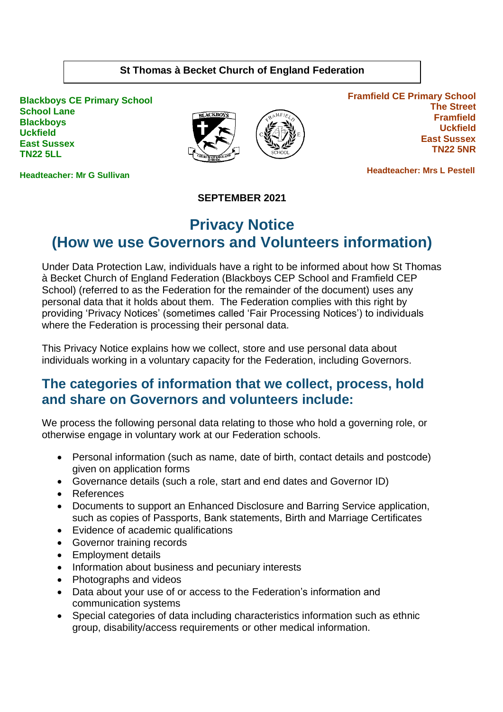#### **St Thomas à Becket Church of England Federation**

**Blackboys CE Primary School School Lane Blackboys Uckfield East Sussex TN22 5LL**





**Framfield CE Primary School The Street Framfield Uckfield East Sussex TN22 5NR**

 **Headteacher: Mrs L Pestell** 

**Headteacher: Mr G Sullivan**

**SEPTEMBER 2021**

# **Privacy Notice (How we use Governors and Volunteers information)**

Under Data Protection Law, individuals have a right to be informed about how St Thomas à Becket Church of England Federation (Blackboys CEP School and Framfield CEP School) (referred to as the Federation for the remainder of the document) uses any personal data that it holds about them. The Federation complies with this right by providing 'Privacy Notices' (sometimes called 'Fair Processing Notices') to individuals where the Federation is processing their personal data.

This Privacy Notice explains how we collect, store and use personal data about individuals working in a voluntary capacity for the Federation, including Governors.

### **The categories of information that we collect, process, hold and share on Governors and volunteers include:**

We process the following personal data relating to those who hold a governing role, or otherwise engage in voluntary work at our Federation schools.

- Personal information (such as name, date of birth, contact details and postcode) given on application forms
- Governance details (such a role, start and end dates and Governor ID)
- References
- Documents to support an Enhanced Disclosure and Barring Service application, such as copies of Passports, Bank statements, Birth and Marriage Certificates
- Evidence of academic qualifications
- Governor training records
- Employment details
- Information about business and pecuniary interests
- Photographs and videos
- Data about your use of or access to the Federation's information and communication systems
- Special categories of data including characteristics information such as ethnic group, disability/access requirements or other medical information.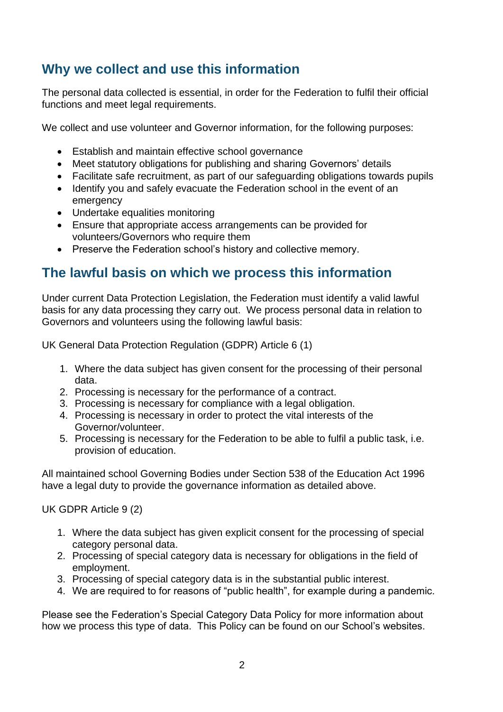## **Why we collect and use this information**

The personal data collected is essential, in order for the Federation to fulfil their official functions and meet legal requirements.

We collect and use volunteer and Governor information, for the following purposes:

- Establish and maintain effective school governance
- Meet statutory obligations for publishing and sharing Governors' details
- Facilitate safe recruitment, as part of our safeguarding obligations towards pupils
- Identify you and safely evacuate the Federation school in the event of an emergency
- Undertake equalities monitoring
- Ensure that appropriate access arrangements can be provided for volunteers/Governors who require them
- Preserve the Federation school's history and collective memory.

## **The lawful basis on which we process this information**

Under current Data Protection Legislation, the Federation must identify a valid lawful basis for any data processing they carry out. We process personal data in relation to Governors and volunteers using the following lawful basis:

UK General Data Protection Regulation (GDPR) Article 6 (1)

- 1. Where the data subject has given consent for the processing of their personal data.
- 2. Processing is necessary for the performance of a contract.
- 3. Processing is necessary for compliance with a legal obligation.
- 4. Processing is necessary in order to protect the vital interests of the Governor/volunteer.
- 5. Processing is necessary for the Federation to be able to fulfil a public task, i.e. provision of education.

All maintained school Governing Bodies under Section 538 of the Education Act 1996 have a legal duty to provide the governance information as detailed above.

UK GDPR Article 9 (2)

- 1. Where the data subject has given explicit consent for the processing of special category personal data.
- 2. Processing of special category data is necessary for obligations in the field of employment.
- 3. Processing of special category data is in the substantial public interest.
- 4. We are required to for reasons of "public health", for example during a pandemic.

Please see the Federation's Special Category Data Policy for more information about how we process this type of data. This Policy can be found on our School's websites.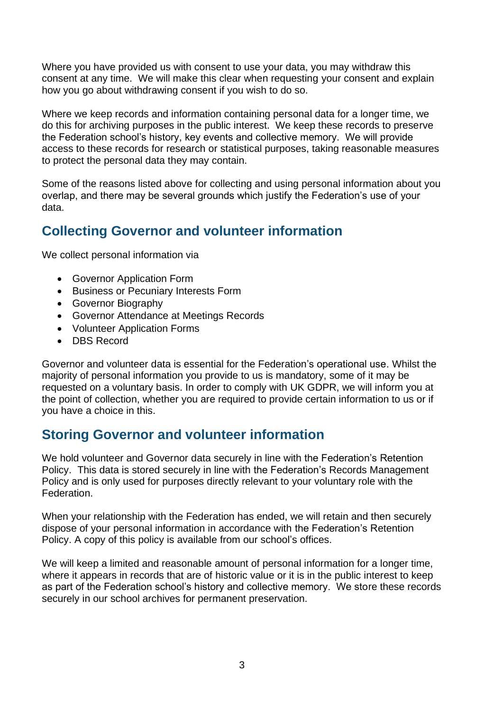Where you have provided us with consent to use your data, you may withdraw this consent at any time. We will make this clear when requesting your consent and explain how you go about withdrawing consent if you wish to do so.

Where we keep records and information containing personal data for a longer time, we do this for archiving purposes in the public interest. We keep these records to preserve the Federation school's history, key events and collective memory. We will provide access to these records for research or statistical purposes, taking reasonable measures to protect the personal data they may contain.

Some of the reasons listed above for collecting and using personal information about you overlap, and there may be several grounds which justify the Federation's use of your data.

## **Collecting Governor and volunteer information**

We collect personal information via

- Governor Application Form
- Business or Pecuniary Interests Form
- Governor Biography
- Governor Attendance at Meetings Records
- Volunteer Application Forms
- DBS Record

Governor and volunteer data is essential for the Federation's operational use. Whilst the majority of personal information you provide to us is mandatory, some of it may be requested on a voluntary basis. In order to comply with UK GDPR, we will inform you at the point of collection, whether you are required to provide certain information to us or if you have a choice in this.

### **Storing Governor and volunteer information**

We hold volunteer and Governor data securely in line with the Federation's Retention Policy. This data is stored securely in line with the Federation's Records Management Policy and is only used for purposes directly relevant to your voluntary role with the Federation.

When your relationship with the Federation has ended, we will retain and then securely dispose of your personal information in accordance with the Federation's Retention Policy. A copy of this policy is available from our school's offices.

We will keep a limited and reasonable amount of personal information for a longer time, where it appears in records that are of historic value or it is in the public interest to keep as part of the Federation school's history and collective memory. We store these records securely in our school archives for permanent preservation.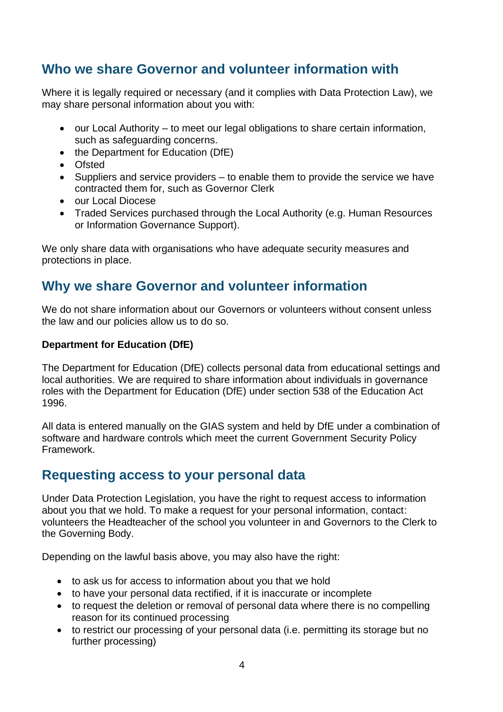### **Who we share Governor and volunteer information with**

Where it is legally required or necessary (and it complies with Data Protection Law), we may share personal information about you with:

- our Local Authority to meet our legal obligations to share certain information, such as safeguarding concerns.
- the Department for Education (DfE)
- Ofsted
- Suppliers and service providers to enable them to provide the service we have contracted them for, such as Governor Clerk
- our Local Diocese
- Traded Services purchased through the Local Authority (e.g. Human Resources or Information Governance Support).

We only share data with organisations who have adequate security measures and protections in place.

### **Why we share Governor and volunteer information**

We do not share information about our Governors or volunteers without consent unless the law and our policies allow us to do so.

#### **Department for Education (DfE)**

The Department for Education (DfE) collects personal data from educational settings and local authorities. We are required to share information about individuals in governance roles with the Department for Education (DfE) under [section 538 of the Education Act](http://www.legislation.gov.uk/ukpga/1996/56/section/538)  [1996.](http://www.legislation.gov.uk/ukpga/1996/56/section/538)

All data is entered manually on the GIAS system and held by DfE under a combination of software and hardware controls which meet the current [Government Security Policy](https://www.gov.uk/government/publications/security-policy-framework)  [Framework.](https://www.gov.uk/government/publications/security-policy-framework)

### **Requesting access to your personal data**

Under Data Protection Legislation, you have the right to request access to information about you that we hold. To make a request for your personal information, contact: volunteers the Headteacher of the school you volunteer in and Governors to the Clerk to the Governing Body.

Depending on the lawful basis above, you may also have the right:

- to ask us for access to information about you that we hold
- to have your personal data rectified, if it is inaccurate or incomplete
- to request the deletion or removal of personal data where there is no compelling reason for its continued processing
- to restrict our processing of your personal data (i.e. permitting its storage but no further processing)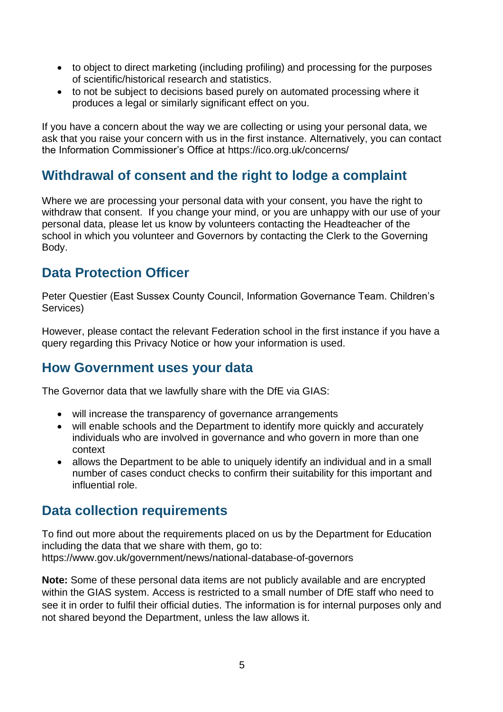- to object to direct marketing (including profiling) and processing for the purposes of scientific/historical research and statistics.
- to not be subject to decisions based purely on automated processing where it produces a legal or similarly significant effect on you.

If you have a concern about the way we are collecting or using your personal data, we ask that you raise your concern with us in the first instance. Alternatively, you can contact the Information Commissioner's Office at<https://ico.org.uk/concerns/>

## **Withdrawal of consent and the right to lodge a complaint**

Where we are processing your personal data with your consent, you have the right to withdraw that consent. If you change your mind, or you are unhappy with our use of your personal data, please let us know by volunteers contacting the Headteacher of the school in which you volunteer and Governors by contacting the Clerk to the Governing Body.

## **Data Protection Officer**

Peter Questier (East Sussex County Council, Information Governance Team. Children's Services)

However, please contact the relevant Federation school in the first instance if you have a query regarding this Privacy Notice or how your information is used.

### **How Government uses your data**

The Governor data that we lawfully share with the DfE via GIAS:

- will increase the transparency of governance arrangements
- will enable schools and the Department to identify more quickly and accurately individuals who are involved in governance and who govern in more than one context
- allows the Department to be able to uniquely identify an individual and in a small number of cases conduct checks to confirm their suitability for this important and influential role.

### **Data collection requirements**

To find out more about the requirements placed on us by the Department for Education including the data that we share with them, go to: <https://www.gov.uk/government/news/national-database-of-governors>

**Note:** Some of these personal data items are not publicly available and are encrypted within the GIAS system. Access is restricted to a small number of DfE staff who need to see it in order to fulfil their official duties. The information is for internal purposes only and not shared beyond the Department, unless the law allows it.